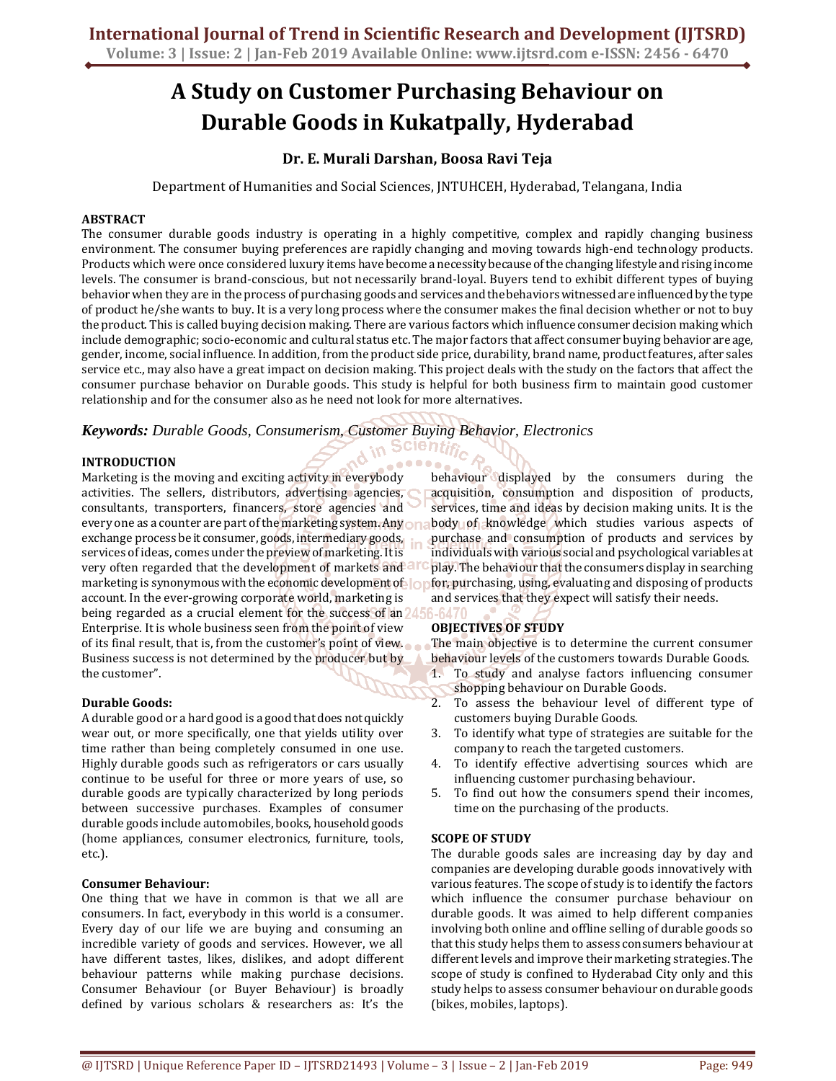# **A Study on Customer Purchasing Behaviour on Durable Goods in Kukatpally, Hyderabad**

# **Dr. E. Murali Darshan, Boosa Ravi Teja**

Department of Humanities and Social Sciences, JNTUHCEH, Hyderabad, Telangana, India

# **ABSTRACT**

The consumer durable goods industry is operating in a highly competitive, complex and rapidly changing business environment. The consumer buying preferences are rapidly changing and moving towards high-end technology products. Products which were once considered luxury items have become a necessity because of the changing lifestyle and rising income levels. The consumer is brand-conscious, but not necessarily brand-loyal. Buyers tend to exhibit different types of buying behavior when they are in the process of purchasing goods and services and the behaviors witnessed are influenced by the type of product he/she wants to buy. It is a very long process where the consumer makes the final decision whether or not to buy the product. This is called buying decision making. There are various factors which influence consumer decision making which include demographic; socio-economic and cultural status etc. The major factors that affect consumer buying behavior are age, gender, income, social influence. In addition, from the product side price, durability, brand name, product features, after sales service etc., may also have a great impact on decision making. This project deals with the study on the factors that affect the consumer purchase behavior on Durable goods. This study is helpful for both business firm to maintain good customer relationship and for the consumer also as he need not look for more alternatives.

<sub>in</sub> Scientin

# *Keywords: Durable Goods, Consumerism, Customer Buying Behavior, Electronics*

# **INTRODUCTION**

Marketing is the moving and exciting activity in everybody activities. The sellers, distributors, advertising agencies, consultants, transporters, financers, store agencies and every one as a counter are part of the marketing system. Any one exchange process be it consumer, goods, intermediary goods, services of ideas, comes under the preview of marketing. It is very often regarded that the development of markets and all marketing is synonymous with the economic development of or account. In the ever-growing corporate world, marketing is being regarded as a crucial element for the success of an 24.56-647 Enterprise. It is whole business seen from the point of view of its final result, that is, from the customer's point of view. Business success is not determined by the producer but by the customer".

### **Durable Goods:**

A durable good or a hard good is a good that does not quickly wear out, or more specifically, one that yields utility over time rather than being completely consumed in one use. Highly durable goods such as refrigerators or cars usually continue to be useful for three or more years of use, so durable goods are typically characterized by long periods between successive purchases. Examples of consumer durable goods include automobiles, books, household goods (home appliances, consumer electronics, furniture, tools, etc.).

### **Consumer Behaviour:**

One thing that we have in common is that we all are consumers. In fact, everybody in this world is a consumer. Every day of our life we are buying and consuming an incredible variety of goods and services. However, we all have different tastes, likes, dislikes, and adopt different behaviour patterns while making purchase decisions. Consumer Behaviour (or Buyer Behaviour) is broadly defined by various scholars & researchers as: It's the behaviour displayed by the consumers during the acquisition, consumption and disposition of products, services, time and ideas by decision making units. It is the body of knowledge which studies various aspects of purchase and consumption of products and services by individuals with various social and psychological variables at play. The behaviour that the consumers display in searching for, purchasing, using, evaluating and disposing of products and services that they expect will satisfy their needs.

# **OBJECTIVES OF STUDY**

The main objective is to determine the current consumer behaviour levels of the customers towards Durable Goods.

- 1. To study and analyse factors influencing consumer shopping behaviour on Durable Goods.
- 2. To assess the behaviour level of different type of customers buying Durable Goods.
- 3. To identify what type of strategies are suitable for the company to reach the targeted customers.
- 4. To identify effective advertising sources which are influencing customer purchasing behaviour.
- 5. To find out how the consumers spend their incomes, time on the purchasing of the products.

### **SCOPE OF STUDY**

The durable goods sales are increasing day by day and companies are developing durable goods innovatively with various features. The scope of study is to identify the factors which influence the consumer purchase behaviour on durable goods. It was aimed to help different companies involving both online and offline selling of durable goods so that this study helps them to assess consumers behaviour at different levels and improve their marketing strategies. The scope of study is confined to Hyderabad City only and this study helps to assess consumer behaviour on durable goods (bikes, mobiles, laptops).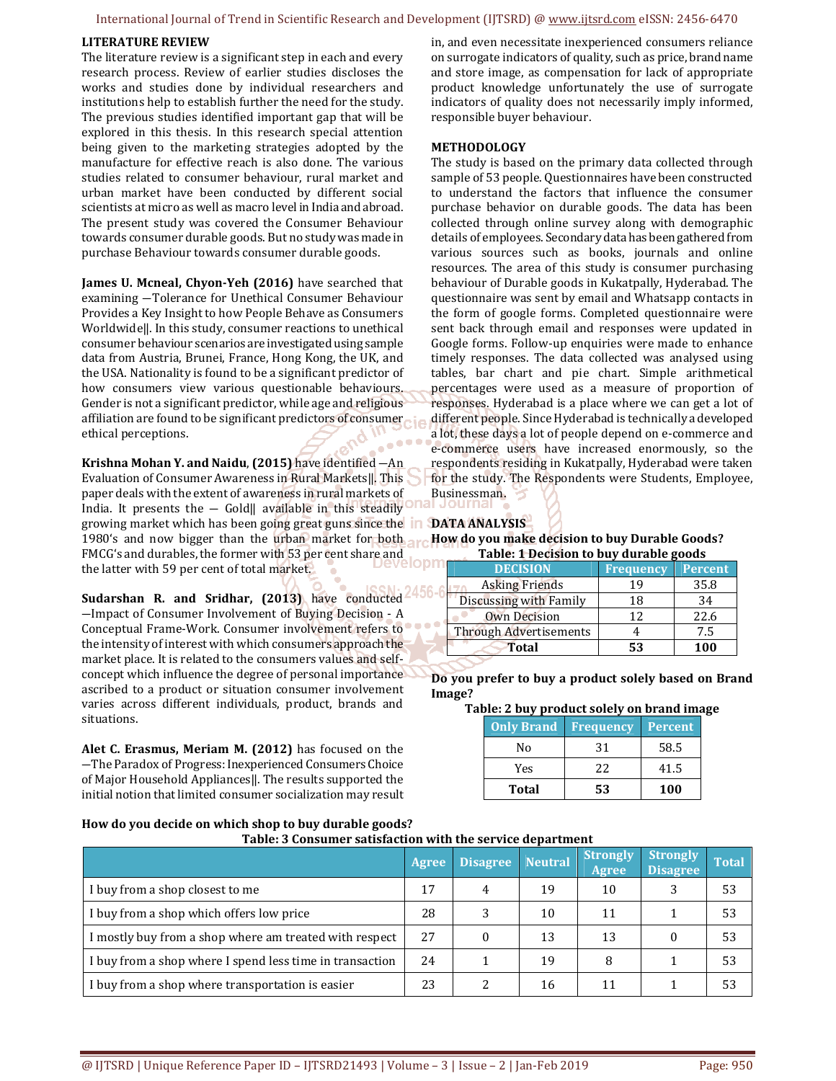#### International Journal of Trend in Scientific Research and Development (IJTSRD) @ www.ijtsrd.com eISSN: 2456-6470

#### **LITERATURE REVIEW**

The literature review is a significant step in each and every research process. Review of earlier studies discloses the works and studies done by individual researchers and institutions help to establish further the need for the study. The previous studies identified important gap that will be explored in this thesis. In this research special attention being given to the marketing strategies adopted by the manufacture for effective reach is also done. The various studies related to consumer behaviour, rural market and urban market have been conducted by different social scientists at micro as well as macro level in India and abroad. The present study was covered the Consumer Behaviour towards consumer durable goods. But no study was made in purchase Behaviour towards consumer durable goods.

**James U. Mcneal, Chyon-Yeh (2016)** have searched that examining ―Tolerance for Unethical Consumer Behaviour Provides a Key Insight to how People Behave as Consumers Worldwide‖. In this study, consumer reactions to unethical consumer behaviour scenarios are investigated using sample data from Austria, Brunei, France, Hong Kong, the UK, and the USA. Nationality is found to be a significant predictor of how consumers view various questionable behaviours. Gender is not a significant predictor, while age and religious affiliation are found to be significant predictors of consumer ethical perceptions.

**Krishna Mohan Y. and Naidu, (2015)** have identified  $-An$ Evaluation of Consumer Awareness in Rural Markets‖. This paper deals with the extent of awareness in rural markets of India. It presents the  $-$  Gold $\parallel$  available in this steadily growing market which has been going great guns since the **DATA ANALYSIS** 1980's and now bigger than the urban market for both  $\alpha$ FMCG's and durables, the former with 53 per cent share and<br>the latter with 50 per cent of tatel worked? the latter with 59 per cent of total market.

Sudarshan R. and Sridhar, (2013) have conducted<sup>2456-6</sup> ―Impact of Consumer Involvement of Buying Decision - A Conceptual Frame-Work. Consumer involvement refers to the intensity of interest with which consumers approach the market place. It is related to the consumers values and selfconcept which influence the degree of personal importance ascribed to a product or situation consumer involvement varies across different individuals, product, brands and situations.

**Alet C. Erasmus, Meriam M. (2012)** has focused on the ―The Paradox of Progress: Inexperienced Consumers Choice of Major Household Appliances]. The results supported the initial notion that limited consumer socialization may result in, and even necessitate inexperienced consumers reliance on surrogate indicators of quality, such as price, brand name and store image, as compensation for lack of appropriate product knowledge unfortunately the use of surrogate indicators of quality does not necessarily imply informed, responsible buyer behaviour.

#### **METHODOLOGY**

The study is based on the primary data collected through sample of 53 people. Questionnaires have been constructed to understand the factors that influence the consumer purchase behavior on durable goods. The data has been collected through online survey along with demographic details of employees. Secondary data has been gathered from various sources such as books, journals and online resources. The area of this study is consumer purchasing behaviour of Durable goods in Kukatpally, Hyderabad. The questionnaire was sent by email and Whatsapp contacts in the form of google forms. Completed questionnaire were sent back through email and responses were updated in Google forms. Follow-up enquiries were made to enhance timely responses. The data collected was analysed using tables, bar chart and pie chart. Simple arithmetical percentages were used as a measure of proportion of responses. Hyderabad is a place where we can get a lot of different people. Since Hyderabad is technically a developed a lot, these days a lot of people depend on e-commerce and e-commerce users have increased enormously, so the respondents residing in Kukatpally, Hyderabad were taken for the study. The Respondents were Students, Employee, Businessman.

#### **How do you make decision to buy Durable Goods? Table: 1 Decision to buy durable goods**

| <b>DECISION</b>               | <b>Frequency</b> | <b>Percent</b> |  |  |
|-------------------------------|------------------|----------------|--|--|
| <b>Asking Friends</b>         | 19               | 35.8           |  |  |
| Discussing with Family        | 18               | 34             |  |  |
| <b>Own Decision</b>           | 12               | 22.6           |  |  |
| <b>Through Advertisements</b> |                  | 7.5            |  |  |
| Total                         | 53               | 100            |  |  |

**Do you prefer to buy a product solely based on Brand Image?** 

#### **Table: 2 buy product solely on brand image**

| <b>Only Brand</b> | <b>Frequency</b> | <b>Percent</b> |
|-------------------|------------------|----------------|
| No                | 31               | 58.5           |
| Yes               | 22               | 41.5           |
| Total             | 53               | 100            |

**How do you decide on which shop to buy durable goods?** 

|  | Table: 3 Consumer satisfaction with the service department |  |  |
|--|------------------------------------------------------------|--|--|

l

|                                                          | Agree | <b>Disagree</b> | <b>Neutral</b> | <b>Strongly</b><br>Agree | Strongly<br><b>Disagree</b> | <b>Total</b> |
|----------------------------------------------------------|-------|-----------------|----------------|--------------------------|-----------------------------|--------------|
| I buy from a shop closest to me                          | 17    | 4               | 19             | 10                       |                             | 53           |
| I buy from a shop which offers low price                 | 28    | 2               | 10             | 11                       |                             | 53           |
| I mostly buy from a shop where am treated with respect   | 27    |                 | 13             | 13                       |                             | 53           |
| I buy from a shop where I spend less time in transaction | 24    |                 | 19             | 8                        |                             | 53           |
| I buy from a shop where transportation is easier         | 23    |                 | 16             | 11                       |                             | 53           |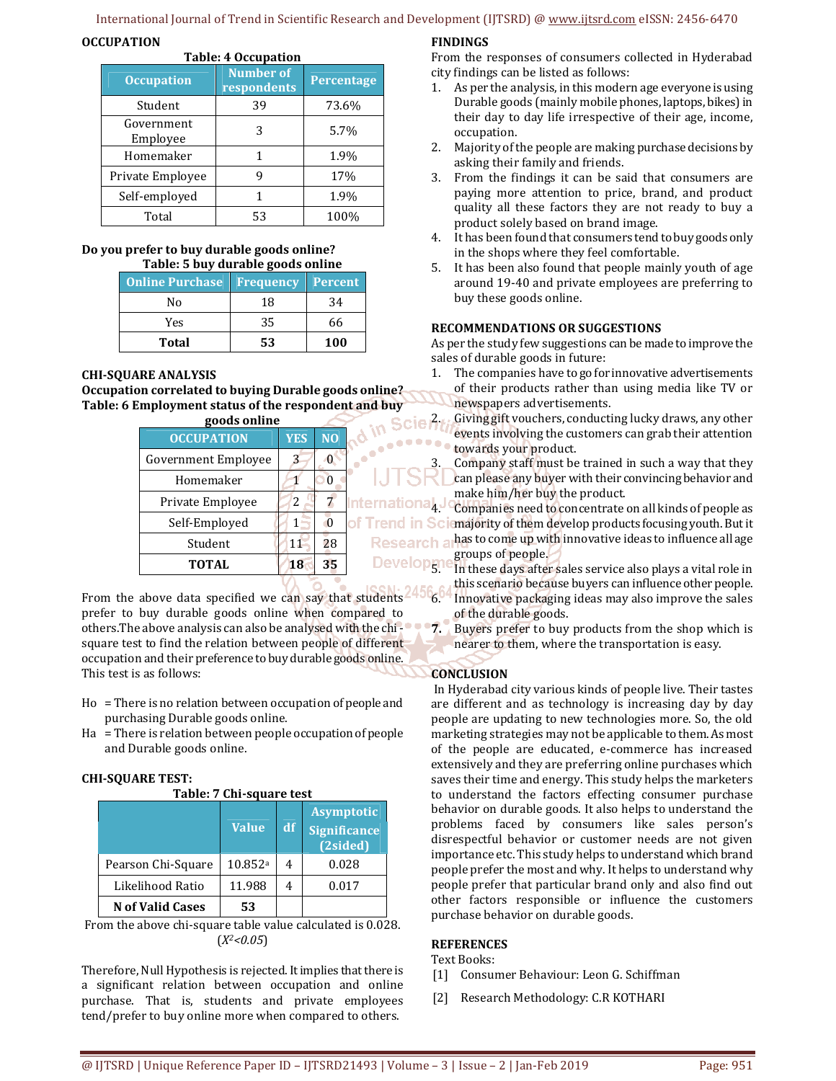# International Journal of Trend in Scientific Research and Development (IJTSRD) @ www.ijtsrd.com eISSN: 2456-6470

# **OCCUPATION**

| <b>Table: 4 Occupation</b> |                                 |            |  |  |
|----------------------------|---------------------------------|------------|--|--|
| <b>Occupation</b>          | <b>Number of</b><br>respondents | Percentage |  |  |
| Student                    | 39                              | 73.6%      |  |  |
| Government<br>Employee     | 3                               | 5.7%       |  |  |
| Homemaker                  | 1                               | 1.9%       |  |  |
| Private Employee           | g                               | 17%        |  |  |
| Self-employed              | 1                               | 1.9%       |  |  |
| Total                      | 53                              | 100%       |  |  |

#### **Do you prefer to buy durable goods online? Table: 5 buy durable goods online**

| Table: 5 Duy durable goods omine |    |            |  |  |
|----------------------------------|----|------------|--|--|
| <b>Online Purchase Frequency</b> |    | Percent    |  |  |
| Nο                               | 18 | 34         |  |  |
| Yes                              | 35 | 66         |  |  |
| Total                            | 53 | <b>100</b> |  |  |

# **CHI-SQUARE ANALYSIS**

**Occupation correlated to buying Durable goods online? Table: 6 Employment status of the respondent and buy** 

| goods online               |            |                | in Scier             |  |  |
|----------------------------|------------|----------------|----------------------|--|--|
| <b>OCCUPATION</b>          | <b>YES</b> | $\overline{N}$ |                      |  |  |
| <b>Government Employee</b> | 3          |                |                      |  |  |
| Homemaker                  |            | 0              |                      |  |  |
| Private Employee           | 2          |                | <b>International</b> |  |  |
| Self-Employed              |            | $\Omega$       | of Trend in S        |  |  |
| Student                    | 11         | 28             | <b>Research</b>      |  |  |
| <b>TOTAL</b>               | 18         | 35             | <b>Develop</b>       |  |  |
| <b>IAALL AIRA</b>          |            |                |                      |  |  |

From the above data specified we can say that students  $245$ prefer to buy durable goods online when compared to others.The above analysis can also be analysed with the chi square test to find the relation between people of different occupation and their preference to buy durable goods online. This test is as follows:

- Ho = There is no relation between occupation of people and purchasing Durable goods online.
- Ha = There is relation between people occupation of people and Durable goods online.

# **CHI-SQUARE TEST:**

| Table: 7 Chi-square test |              |    |                                                      |  |
|--------------------------|--------------|----|------------------------------------------------------|--|
|                          | <b>Value</b> | df | <b>Asymptotic</b><br><b>Significance</b><br>(2sided) |  |
| Pearson Chi-Square       | 10.852a      | 4  | 0.028                                                |  |
| Likelihood Ratio         | 11.988       | 4  | 0.017                                                |  |
| <b>N</b> of Valid Cases  | 53           |    |                                                      |  |

From the above chi-square table value calculated is 0.028. (*X2<0.05*)

Therefore, Null Hypothesis is rejected. It implies that there is a significant relation between occupation and online purchase. That is, students and private employees tend/prefer to buy online more when compared to others.

# **FINDINGS**

From the responses of consumers collected in Hyderabad city findings can be listed as follows:

- 1. As per the analysis, in this modern age everyone is using Durable goods (mainly mobile phones, laptops, bikes) in their day to day life irrespective of their age, income, occupation.
- 2. Majority of the people are making purchase decisions by asking their family and friends.
- 3. From the findings it can be said that consumers are paying more attention to price, brand, and product quality all these factors they are not ready to buy a product solely based on brand image.
- 4. It has been found that consumers tend to buy goods only in the shops where they feel comfortable.
- 5. It has been also found that people mainly youth of age around 19-40 and private employees are preferring to buy these goods online.

# **RECOMMENDATIONS OR SUGGESTIONS**

As per the study few suggestions can be made to improve the sales of durable goods in future:

- 1. The companies have to go for innovative advertisements of their products rather than using media like TV or newspapers advertisements.
- 2. Giving gift vouchers, conducting lucky draws, any other events involving the customers can grab their attention towards your product.

Company staff must be trained in such a way that they can please any buyer with their convincing behavior and make him/her buy the product.

4. Companies need to concentrate on all kinds of people as **Clemajority of them develop products focusing youth. But it** has to come up with innovative ideas to influence all age groups of people.

- $5.1^\circ$  In these days after sales service also plays a vital role in this scenario because buyers can influence other people. 6. Innovative packaging ideas may also improve the sales of the durable goods.
- **7.** Buyers prefer to buy products from the shop which is nearer to them, where the transportation is easy.

# **CONCLUSION**

 In Hyderabad city various kinds of people live. Their tastes are different and as technology is increasing day by day people are updating to new technologies more. So, the old marketing strategies may not be applicable to them. As most of the people are educated, e-commerce has increased extensively and they are preferring online purchases which saves their time and energy. This study helps the marketers to understand the factors effecting consumer purchase behavior on durable goods. It also helps to understand the problems faced by consumers like sales person's disrespectful behavior or customer needs are not given importance etc. This study helps to understand which brand people prefer the most and why. It helps to understand why people prefer that particular brand only and also find out other factors responsible or influence the customers purchase behavior on durable goods.

# **REFERENCES**

Text Books:

- [1] Consumer Behaviour: Leon G. Schiffman
- [2] Research Methodology: C.R KOTHARI